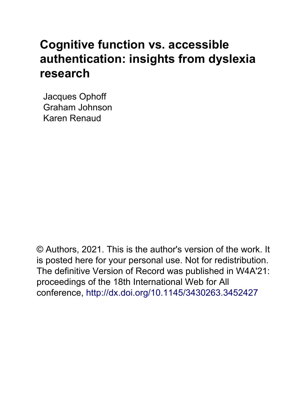# **Cognitive function vs. accessible authentication: insights from dyslexia research**

Jacques Ophoff Graham Johnson Karen Renaud

© Authors, 2021. This is the author's version of the work. It is posted here for your personal use. Not for redistribution. The definitive Version of Record was published in W4A'21: proceedings of the 18th International Web for All conference, http://dx.doi.org/[10.1145/3430263.3452427](http://dx.doi.org/10.1145/3430263.3452427)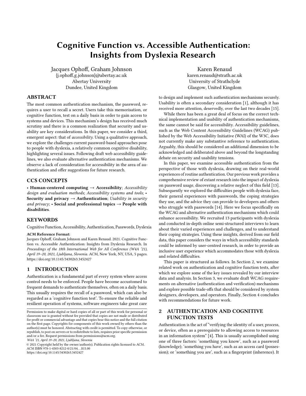## Cognitive Function vs. Accessible Authentication: Insights from Dyslexia Research

Jacques Ophof, Graham Johnson {[j.ophof,g.johnson}@abertay.ac.uk](mailto:j.ophoff,g.johnson}@abertay.ac.uk) Abertay University Dundee, United Kingdom

Karen Renaud [karen.renaud@strath.ac.uk](mailto:karen.renaud@strath.ac.uk) University of Strathclyde Glasgow, United Kingdom

#### ABSTRACT

The most common authentication mechanism, the password, requires a user to recall a secret. Users take this memorisation, or cognitive function, test on a daily basis in order to gain access to systems and devices. This mechanism's design has received much scrutiny and there is a common realization that security and usability are key considerations. In this paper, we consider a third, emergent aspect: that of accessibility. Using a qualitative approach, we explore the challenges current password-based approaches pose to people with dyslexia, a relatively common cognitive disability, highlighting several issues. Following draft web accessibility guidelines, we also evaluate alternative authentication mechanisms. We observe a lack of consideration for accessibility in the area of authentication and offer suggestions for future research.

#### CCS CONCEPTS

• Human-centered computing  $\rightarrow$  Accessibility; Accessibility design and evaluation methods; Accessibility systems and tools; • Security and privacy  $\rightarrow$  Authentication; Usability in security and privacy;  $\cdot$  Social and professional topics  $\rightarrow$  People with disabilities.

### **KEYWORDS**

Cognitive Function,Accessibility,Authentication, Passwords, Dyslexia

#### ACM Reference Format:

Jacques Ophof, Graham Johnson and Karen Renaud. 2021. Cognitive Function vs. Accessible Authentication: Insights from Dyslexia Research. In Proceedings of the 18th International Web for All Conference (W4A '21), April 19–20, 2021, Ljubljana, Slovenia. ACM, New York, NY, USA, [5](#page-5-0) pages. <https://doi.org/10.1145/3430263.3452427>

#### 1 INTRODUCTION

Authentication is a fundamental part of every system where access control needs to be enforced. People have become accustomed to frequent demands to authenticate themselves, often on a daily basis. This usually requires the recall of a password, which can also be regarded as a 'cognitive function test'. To ensure the reliable and resilient operation of systems, software engineers take great care

to design and implement such authentication mechanisms securely. Usability is often a secondary consideration [\[1\]](#page-5-1), although it has received more attention, deservedly, over the last two decades [\[15\]](#page-5-2).

While there has been a great deal of focus on the correct technical implementation and usability of authentication mechanisms, the same cannot be said for accessibility. Accessibility guidelines, such as the Web Content Accessibility Guidelines (WCAG) published by the Web Accessibility Initiative (WAI) of the W3C, does not currently make any substantive reference to authentication. Arguably, this should be considered an additional dimension to be acknowledged and deliberated above and beyond the longstanding debate on security and usability tensions.

In this paper, we examine accessible authentication from the perspective of those with dyslexia, drawing on their real-world experiences ofroutine authentication. Our previous work provides a comprehensive review of extant research into the impact of dyslexia on password usage, discovering a relative neglect of this feld [\[13\]](#page-5-3). Subsequently we explored the difficulties people with dyslexia face, their general experiences with passwords, the coping strategies they use, and the advice they can provide to developers and others who struggle with passwords [\[14\]](#page-5-4). Here we focus specifcally on the WCAG and alternative authentication mechanisms which could enhance accessibility. We recruited 13 participants with dyslexia and conducted in-depth online semi-structured interviews to learn about their varied experiences and challenges, and to understand their coping strategies. Using these insights, derived from our feld data, this paper considers the ways in which accessibility standards could be informed by user-centred research, in order to provide an inclusive user experience which accommodates those with dyslexia and related difficulties.

This paper is structured as follows. In Section [2,](#page-1-0) we examine related work on authentication and cognitive function tests, after which we explore some of the key issues revealed by our interview data and analysis. In Section [3,](#page-3-0) we evaluate draft WCAG requirements on alternative (authentication and verifcation) mechanisms and explore possible trade-ofs that should be considered by system designers, developers, and operators. Finally, Section [4](#page-4-0) concludes with recommendations for future work.

### <span id="page-1-0"></span>2 AUTHENTICATION AND COGNITIVE FUNCTION TESTS

Authentication is the act of "verifying the identity of a user, process, or device, often as a prerequisite to allowing access to resources in an information system" [\[4\]](#page-5-5). This is usually accomplished using W4A '21, April 19-20, 2021, Ljubljana, Slovenia<br>
© 2021 Copyright held by the owner/author(s). Publication rights licensed to ACM.<br>
ACM ISBN 978-1-4503-8212-0/21/04…\$15.00 (knowledge); 'something you have', such as an acce sion); or 'something you are', such as a fingerprint (inherence). It

Permission to make digital or hard copies of all or part of this work for personal or classroom use is granted without fee provided that copies are not made or distributed for proft or commercial advantage and that copies bear this notice and the full citation on the frst page. Copyrights for components of this work owned by others than the author(s) must be honored. Abstracting with credit is permitted. To copy otherwise, or republish, to post on servers or to redistribute to lists, requires prior specifc permission and/or a fee. Request permissions from [permissions@acm.org](mailto:permissions@acm.org).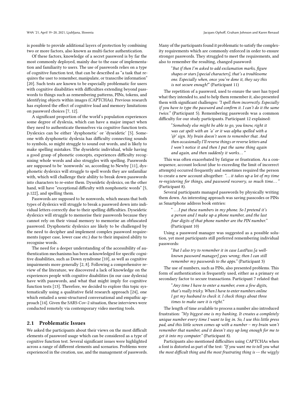is possible to provide additional layers of protection by combining two or more factors, also known as multi-factor authentication.

Of these factors, knowledge of a secret password is by far the most commonly deployed, mainly due to the ease of implementation and familiarity to users. The use of passwords relies on a type of cognitive function test, that can be described as "a task that requires the user to remember, manipulate, or transcribe information" [\[20\]](#page-5-6). Such tests are known to be especially problematic for users with cognitive disabilities with difficulties extending beyond passwords to things such as remembering patterns, PINs, tokens, and identifying objects within images (CAPTCHAs). Previous research has explored the efect of cognitive load and memory limitations on password choices [\[7,](#page-5-7) [12\]](#page-5-8).

A signifcant proportion of the world's population experiences some degree of dyslexia, which can have a major impact when they need to authenticate themselves via cognitive function tests. Dyslexics can be either 'dysphonetic' or 'dyseidetic' [\[5\]](#page-5-9). Someone with dysphonetic dyslexia has difficulty connecting sounds to symbols, so might struggle to sound out words, and is likely to make spelling mistakes. The dyseidetic individual, while having a good grasp of phonetic concepts, experiences difficulty recognising whole words and also struggles with spelling. Passwords are supposed to be 'nonwords' so, according to Newby [\[11\]](#page-5-10), dysphonetic dyslexics will struggle to spell words they are unfamiliar with, which will challenge their ability to break down passwords into characters to re-enter them. Dyseidetic dyslexics, on the other hand, will have "exceptional difficulty with nonphonetic words" [\[5,](#page-5-9) p.122], and spelling them.

Passwords are supposed to be nonwords, which means that both types of dyslexics will struggle to break a password down into individual letters correctly due to their spelling difficulties. Dyseidetic dyslexics will struggle to memorise their passwords because they cannot rely on their visual memory to memorise an obfuscated password. Dysphonetic dyslexics are likely to be challenged by the need to decipher and implement complex password requirements (upper case, lower case etc.) due to their impaired ability to recognise words.

The need for a deeper understanding of the accessibility of authentication mechanisms has been acknowledged for specifc cognitive disabilities, such as Down syndrome [\[10\]](#page-5-11), as well as cognitive impairments more generally [\[2,](#page-5-12) [8\]](#page-5-13). Following a comprehensive review of the literature, we discovered a lack of knowledge on the experiences people with cognitive disabilities (in our case dyslexia) have with passwords, and what that might imply for cognitive function tests [\[13\]](#page-5-3). Therefore, we decided to explore this topic systematically using a qualitative feld research approach [\[24\]](#page-5-14), one which entailed a semi-structured conversational and empathic approach [\[14\]](#page-5-4). Given the SARS-Cov-2 situation, these interviews were conducted remotely via contemporary video meeting tools.

#### 2.1 Problematic Issues

We asked the participants about their views on the most difficult elements of password usage which can be considered as a type of cognitive function test. Several signifcant issues were highlighted across a range of diferent elements and scenarios. Problems were experienced in the creation, use, and the management of passwords. Many of the participants found it problematic to satisfy the complexity requirements which are commonly enforced in order to ensure stronger passwords. They struggled to meet the requirements, and also to remember the resulting, changed password:

> "But if then I'm asked to add exclamation marks, fgure shapes or stars [special characters], that's a troublesome one. Especially when, once you've done it, they say this is not secure enough!" (Participant 11)

The repetition of a password, used to ensure the user has typed what they intended to, and to help them remember it, also presented them with signifcant challenges: "I spell them incorrectly. Especially if you have to type the password and confrm it. I can't do it the same twice." (Participant 5). Remembering passwords was a common difficulty for our study participants. Participant 12 explained:

> "Somebody else might be able to go, you know, right it was cat spelt with an 'a' or it was alpha spelled with a '@' sign. My brain doesn't seem to remember that. And then occasionally I'll reverse things or reverse letters and I won't notice it and then I put the same thing again and again, and then suddenly it works..."

This was often exacerbated by fatigue or frustration. As a consequence, account lockout (due to exceeding the limit of incorrect attempts) occurred frequently and sometimes required the person to create a new account altogether: "... it takes up a lot of my time re-registering for things, and password recovery, so much time..." (Participant 8).

Several participants managed passwords by physically writing them down. An interesting approach was saving passcodes or PINs as Smartphone address book entries:

"... I put these numbers in my phone. So I pretend it's a person and I make up a phone number, and the last four digits of that phone number are the PIN number." (Participant 10)

Using a password manager was suggested as a possible solution, yet most participants still preferred remembering individual passwords:

> "But I also try to remember it in case LastPass [a wellknown password manager] goes wrong; then I can still remember my passwords to the apps." (Participant 3)

The use of numbers, such as PINs, also presented problems. This form of authentication is frequently used, either as a primary or secondary factor to secure transactions. Participant 7 related that:

> "Any time I have to enter a number, even a few digits, that's really tricky. When I have to enter numbers online I get my husband to check it. I check things about three times to make sure it is right."

The length of time available to process a number also introduced frustration: "My biggest one is my banking. It creates a completely unique number every time I want to log in. So, I use this little press pad, and this little screen comes up with a number – my brain won't remember that number, and it doesn't stay up long enough for me to get it into my computer." (Participant 8).

Participants also mentioned difficulties using CAPTCHAs when a font is distorted as part of the test: "If you want me to tell you what the most difficult thing and the most frustrating thing is -- the wiggly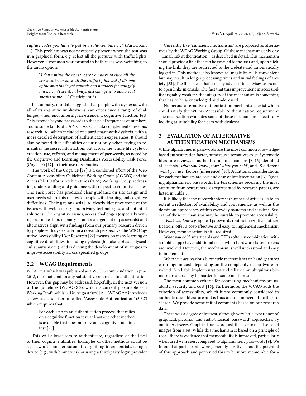capture codes you have to put in on the computer..." (Participant 11). This problem was not necessarily present when the test was in a graphical form, e.g. select all the pictures with traffic lights. However, a common workaround in both cases was switching to the audio option:

"I don't mind the ones where you have to click all the crosswalks, or click all the traffic lights, but if it's one of the ones that's got capitals and numbers for squiggly lines, I can't see it. I always just change it to audio so it speaks at me...." (Participant 8)

In summary, our data suggests that people with dyslexia, with all of its cognitive implications, can experience a range of challenges when encountering, in essence, a cognitive function test. This extends beyond passwords to the use of sequences of numbers, and to some kinds of CAPTCHAs. Our data complements previous research [\[8\]](#page-5-13), which included one participant with dyslexia, with a more detailed description of authentication experiences. It should also be noted that difficulties occur not only when trying to remember the secret information, but across the whole life cycle of creation, use, refresh, and management of passwords, as noted by the Cognitive and Learning Disabilities Accessibility Task Force (Coga TF) [\[17\]](#page-5-15) in their use of scenarios.

The work of the Coga TF [\[19\]](#page-5-16) is a combined effort of the Web Content Accessibility Guidelines Working Group (AG WG) and the Accessible Platform Architectures (APA) Working Group addressing understanding and guidance with respect to cognitive issues. The Task Force has produced clear guidance on site design and user needs where this relates to people with learning and cognitive difficulties. Their gap analysis [\[18\]](#page-5-17) clearly identifies some of the issues with web security and privacy technologies, and potential solutions. The cognitive issues, access challenges (especially with regard to creation, memory of and management of passwords) and alternatives align with fndings from our primary research driven by people with dyslexia. From a research perspective, the W3C Cognitive Accessibility User Research [\[22\]](#page-5-18) focuses on many learning or cognitive disabilities, including dyslexia (but also aphasia, dyscalculia, autism etc.), and is driving the development of strategies to improve accessibility across specifed groups.

#### 2.2 WCAG Requirements

WCAG 2.1, which was published as a W3C Recommendation in June 2018, does not contain any substantive reference to authentication. However, this gap may be addressed, hopefully, in the next version of the guidelines (WCAG 2.2), which is currently available as a Working Draft published in August 2020 [\[21\]](#page-5-19). WCAG 2.2 introduces a new success criterion called 'Accessible Authentication' (3.3.7) which requires that:

For each step in an authentication process that relies on a cognitive function test, at least one other method is available that does not rely on a cognitive function test [\[20\]](#page-5-6).

This will allow users to authenticate, regardless of the level of their cognitive abilities. Examples of other methods could be a password manager automatically flling in credentials, using a device (e.g., with biometrics), or using a third-party login provider.

Currently five 'sufficient mechanisms' are proposed as alternatives by the WCAG Working Group. Of these mechanisms only one — Email link authentication — is described in detail. This mechanism should provide a link that can be emailed to the user and, upon clicking the link, they are redirected to the website and automatically logged in. This method, also known as 'magic links', is convenient but may result in longer processing times and initial feelings of anxiety [\[23\]](#page-5-20). The fip side is that security advice often advises users not to open links in emails. The fact that this improvement in accessibility arguably weakens the integrity of the mechanism is something that has to be acknowledged and addressed.

Numerous alternative authentication mechanisms exist which could satisfy the WCAG Accessible Authentication requirement. The next section evaluates some of these mechanisms, specifcally looking at suitability for users with dyslexia.

### <span id="page-3-0"></span>3 EVALUATION OF ALTERNATIVE AUTHENTICATION MECHANISMS

While alphanumeric passwords are the most common knowledgebased authentication factor, numerous alternatives exist. Systematic literature reviews of authentication mechanisms [\[3,](#page-5-21) [16\]](#page-5-22) identifed at least six 'what you know', four 'what you hold', and 15 diferent 'what you are' factors (inherence) [\[16\]](#page-5-22). Additional considerations for each mechanism are cost and ease of implementation [\[3\]](#page-5-21). Ignoring alphanumeric passwords, the ten schemes receiving the most attention from researchers, as represented by research papers, are listed in Table [1.](#page-4-1)

It is likely that the research interest (number of articles) is to an extent a refection of availability and convenience, as well as the dominant approaches within everyday systems and services. Several of these mechanisms may be suitable to promote accessibility:

What you know: graphical passwords (but not cognitive authentication) offer a cost-effective and easy to implement mechanism. However, memorisation is still required.

What you hold: smart cards and OTPs (often in combination with a mobile app) have additional costs when hardware-based tokens are involved. However, the mechanism is well understood and easy to implement.

What you are: various biometric mechanisms or hand gestures can range in cost, depending on the complexity of hardware involved. A reliable implementation and reliance on ubiquitous biometric readers may be harder for some mechanisms.

The most common criteria for comparing mechanisms are usability, security and cost [\[16\]](#page-5-22). Furthermore, the WCAG adds the criterion of accessibility, which is not commonly considered in authentication literature and is thus an area in need of further research. We provide some initial comments based on our research data.

There was a degree of interest, although very little experience of, graphical, pictorial, and audio/musical 'password' approaches, by our interviewees. Graphical passwords ask the user to recall selected images from a set. While this mechanism is based on a principle of recall there is evidence that memorability is improved, particularly when used with cues, compared to alphanumeric passwords [\[9\]](#page-5-23). We found that participants were generally positive about the potential of this approach and perceived this to be more memorable for a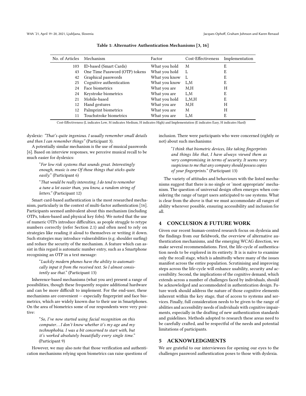<span id="page-4-1"></span>

| No. of Articles | Mechanism                      | Factor        | Cost-Effectiveness | Implementation |
|-----------------|--------------------------------|---------------|--------------------|----------------|
| 103             | ID-based (Smart Cards)         | What you hold | M                  | E              |
| 43              | One Time Password (OTP) tokens | What you hold |                    | E              |
| 42              | Graphical passwords            | What you know | L                  | E              |
| 25              | Cognitive authentication       | What you know | L,M                | E              |
| 24              | Face biometrics                | What you are  | M,H                | Н              |
| 24              | Keystroke biometrics           | What you are  | L,M                | E              |
| 21              | Mobile-based                   | What you hold | L.M.H              | E              |
| 12              | Hand gestures                  | What you are  | M,H                | Н              |
| 12              | Palmprint biometrics           | What you are  | M                  | Н              |
|                 | Touchstroke biometrics         | What you are  | L.M                | E              |
|                 |                                |               |                    |                |

Table 1: Alternative Authentication Mechanisms [\[3,](#page-5-21) [16\]](#page-5-22)

Cost-Efectiveness (L indicates Low, M indicates Medium, H indicates High) and Implementation (E indicates Easy, H indicates Hard)

dyslexic: "That's quite ingenious. I usually remember small details and then I can remember things" (Participant 3).

A potentially similar mechanism is the use of musical passwords [\[6\]](#page-5-24). Based on interview responses, we perceive musical recall to be much easier for dyslexics:

"For low risk systems that sounds great. Interestingly enough, music is one Of those things that sticks quite easily." (Participant 6)

"That would be really interesting. I do tend to remember a tune a lot easier than, you know, a random string of letters." (Participant 12)

Smart card-based authentication is the most researched mechanism, particularly in the context of multi-factor authentication [\[16\]](#page-5-22). Participants seemed ambivalent about this mechanism (including OTPs, token-based and physical key fobs). We noted that the use of numeric OTPs introduce difficulties, as people struggle to retype numbers correctly (refer Section 2.1) and often need to rely on strategies like reading it aloud to themselves or writing it down. Such strategies may introduce vulnerabilities (e.g. shoulder surfng) and reduce the security of the mechanism. A feature which can assist in this regard is automatic number entry, such as a Smartphone recognising an OTP in a text message:

"Luckily modern phones have the ability to automatically input it from the received text. So I almost consistently use that." (Participant 13)

Inherence-based mechanisms (what you are) present a range of possibilities, though these frequently require additional hardware and can be more difficult to implement. For the end-user, these mechanisms are convenient — especially fngerprint and face biometrics, which are widely known due to their use in Smartphones. On the area of biometrics some of our respondents were very positive:

"So, I've now started using facial recognition on this computer. . .I don't know whether it's my age and my technophobia. I was a bit concerned to start with, but it's worked absolutely beautifully every single time." (Participant 9)

inclusion. There were participants who were concerned (rightly or not) about such mechanisms:

> "I think that biometric devices, like taking fngerprints and things like that, I have always viewed them as very compromising in terms of security. It seems very suspicious to me that any company should possess copies of your fngerprints." (Participant 13)

The variety of attitudes and behaviours with the listed mechanisms suggest that there is no single or 'most appropriate' mechanism. The question of universal design often emerges when considering the range of target users anticipated to use systems. What is clear from the above is that we must accommodate all ranges of ability wherever possible, ensuring accessibility and inclusion for all.

#### <span id="page-4-0"></span>4 CONCLUSION & FUTURE WORK

Given our recent human-centred research focus on dyslexia and the fndings from our feldwork, the overview of alternative authentication mechanisms, and the emerging WCAG direction, we make several recommendations. First, the life-cycle of authentication needs to be explored in its entirety. It is is naïve to examine only the recall stage, which is admittedly where many of the issues manifest across the entire population. Scrutinising and improving steps across the life-cycle will enhance usability, security and accessibility. Second, the implications of the cognitive demand, which extends across a number of challenges faced by individuals, should be acknowledged and accommodated in authentication design. Future work should address the nature of those cognitive elements inherent within the key stage, that of access to systems and services. Finally, full consideration needs to be given to the range of abilities and accessibility needs of individuals with cognitive impairments, especially in the drafting of new authentication standards and guidelines. Methods adopted to research these areas need to be carefully crafted, and be respectful of the needs and potential limitations of participants.

#### 5 ACKNOWLEDGMENTS

However, we may also note that those verifcation and authenti- We are grateful to our interviewees for opening our eyes to the cation mechanisms relying upon biometrics can raise questions of challenges password authentication poses to those with dyslexia.